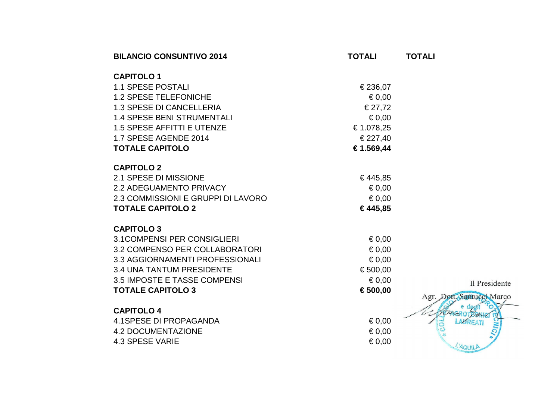| <b>BILANCIO CONSUNTIVO 2014</b>    | <b>TOTALI</b>   | <b>TOTALI</b>             |
|------------------------------------|-----------------|---------------------------|
| <b>CAPITOLO1</b>                   |                 |                           |
| <b>1.1 SPESE POSTALI</b>           | € 236,07        |                           |
| <b>1.2 SPESE TELEFONICHE</b>       | $\epsilon$ 0,00 |                           |
| <b>1.3 SPESE DI CANCELLERIA</b>    | € 27,72         |                           |
| <b>1.4 SPESE BENI STRUMENTALI</b>  | $\epsilon$ 0,00 |                           |
| 1.5 SPESE AFFITTI E UTENZE         | € 1.078,25      |                           |
| 1.7 SPESE AGENDE 2014              | € 227,40        |                           |
| <b>TOTALE CAPITOLO</b>             | € 1.569,44      |                           |
| <b>CAPITOLO 2</b>                  |                 |                           |
| 2.1 SPESE DI MISSIONE              | €445,85         |                           |
| <b>2.2 ADEGUAMENTO PRIVACY</b>     | $\epsilon$ 0,00 |                           |
| 2.3 COMMISSIONI E GRUPPI DI LAVORO | $\epsilon$ 0,00 |                           |
| <b>TOTALE CAPITOLO 2</b>           | €445,85         |                           |
| <b>CAPITOLO 3</b>                  |                 |                           |
| <b>3.1COMPENSI PER CONSIGLIERI</b> | $\epsilon$ 0,00 |                           |
| 3.2 COMPENSO PER COLLABORATORI     | $\epsilon$ 0,00 |                           |
| 3.3 AGGIORNAMENTI PROFESSIONALI    | $\epsilon$ 0,00 |                           |
| <b>3.4 UNA TANTUM PRESIDENTE</b>   | € 500,00        |                           |
| 3.5 IMPOSTE E TASSE COMPENSI       | $\epsilon$ 0,00 | Il Presidente             |
| <b>TOTALE CAPITOLO 3</b>           | € 500,00        |                           |
|                                    |                 | Agr. Dott. Santucci Marco |
| <b>CAPITOLO 4</b>                  |                 |                           |
| 4.1SPESE DI PROPAGANDA             | $\epsilon$ 0.00 | LAUREATI                  |
| <b>4.2 DOCUMENTAZIONE</b>          | $\epsilon$ 0,00 |                           |
| 4.3 SPESE VARIE                    | $\epsilon$ 0,00 | L'AQUILA                  |